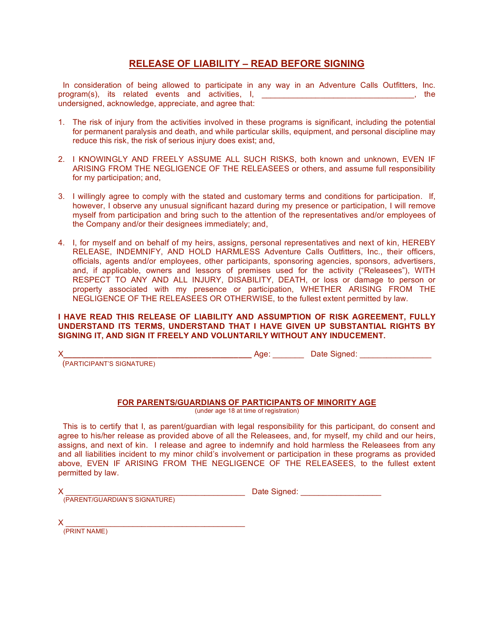## **RELEASE OF LIABILITY – READ BEFORE SIGNING**

In consideration of being allowed to participate in any way in an Adventure Calls Outfitters, Inc. program(s), its related events and activities, I, the mode is a set of the set of the set of the set of the set of the set of the set of the set of the set of the set of the set of the set of the set of the set of the set undersigned, acknowledge, appreciate, and agree that:

- 1. The risk of injury from the activities involved in these programs is significant, including the potential for permanent paralysis and death, and while particular skills, equipment, and personal discipline may reduce this risk, the risk of serious injury does exist; and,
- 2. I KNOWINGLY AND FREELY ASSUME ALL SUCH RISKS, both known and unknown, EVEN IF ARISING FROM THE NEGLIGENCE OF THE RELEASEES or others, and assume full responsibility for my participation; and,
- 3. I willingly agree to comply with the stated and customary terms and conditions for participation. If, however, I observe any unusual significant hazard during my presence or participation, I will remove myself from participation and bring such to the attention of the representatives and/or employees of the Company and/or their designees immediately; and,
- 4. I, for myself and on behalf of my heirs, assigns, personal representatives and next of kin, HEREBY RELEASE, INDEMNIFY, AND HOLD HARMLESS Adventure Calls Outfitters, Inc., their officers, officials, agents and/or employees, other participants, sponsoring agencies, sponsors, advertisers, and, if applicable, owners and lessors of premises used for the activity ("Releasees"), WITH RESPECT TO ANY AND ALL INJURY, DISABILITY, DEATH, or loss or damage to person or property associated with my presence or participation, WHETHER ARISING FROM THE NEGLIGENCE OF THE RELEASEES OR OTHERWISE, to the fullest extent permitted by law.

## **I HAVE READ THIS RELEASE OF LIABILITY AND ASSUMPTION OF RISK AGREEMENT, FULLY UNDERSTAND ITS TERMS, UNDERSTAND THAT I HAVE GIVEN UP SUBSTANTIAL RIGHTS BY SIGNING IT, AND SIGN IT FREELY AND VOLUNTARILY WITHOUT ANY INDUCEMENT.**

X**\_\_\_\_\_\_\_\_\_\_\_\_\_\_\_\_\_\_\_\_\_\_\_\_\_\_\_\_\_\_\_\_\_\_\_\_\_\_\_\_\_\_** Age: \_\_\_\_\_\_\_ Date Signed: \_\_\_\_\_\_\_\_\_\_\_\_\_\_\_\_

(PARTICIPANT'S SIGNATURE)

## **FOR PARENTS/GUARDIANS OF PARTICIPANTS OF MINORITY AGE**

(under age 18 at time of registration)

This is to certify that I, as parent/guardian with legal responsibility for this participant, do consent and agree to his/her release as provided above of all the Releasees, and, for myself, my child and our heirs, assigns, and next of kin. I release and agree to indemnify and hold harmless the Releasees from any and all liabilities incident to my minor child's involvement or participation in these programs as provided above, EVEN IF ARISING FROM THE NEGLIGENCE OF THE RELEASEES, to the fullest extent permitted by law.

(PARENT/GUARDIAN'S SIGNATURE)

 $X \sim$  Date Signed:  $\sim$  Date Signed:  $\sim$ 

 ${\sf X}$   $\_\_$ 

(PRINT NAME)